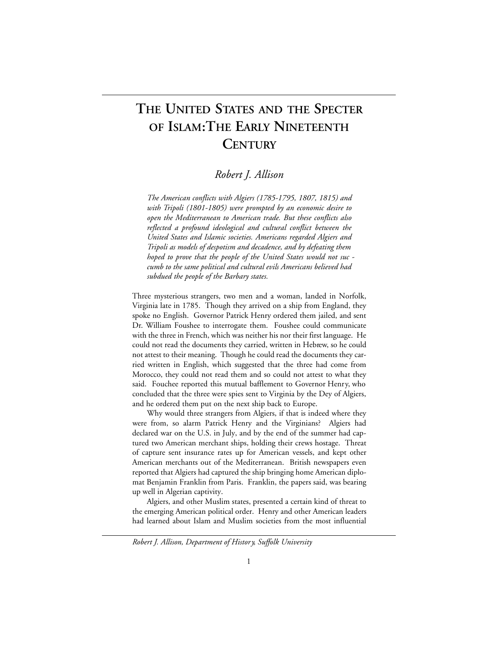## **THE UNITED STATES AND THE SPECTER OF ISLAM:THE EARLY NINETEENTH CENTURY**

## *Robert J. Allison*

*The American conflicts with Algiers (1785-1795, 1807, 1815) and with Tripoli (1801-1805) were prompted by an economic desire to open the Mediterranean to American trade. But these conflicts also reflected a profound ideological and cultural conflict between the United States and Islamic societies. Americans regarded Algiers and Tripoli as models of despotism and decadence, and by defeating them hoped to prove that the people of the United States would not suc cumb to the same political and cultural evils Americans believed had subdued the people of the Barbary states.*

Three mysterious strangers, two men and a woman, landed in Norfolk, Virginia late in 1785. Though they arrived on a ship from England, they spoke no English. Governor Patrick Henry ordered them jailed, and sent Dr. William Foushee to interrogate them. Foushee could communicate with the three in French, which was neither his nor their first language. He could not read the documents they carried, written in Hebrew, so he could not attest to their meaning. Though he could read the documents they carried written in English, which suggested that the three had come from Morocco, they could not read them and so could not attest to what they said. Fouchee reported this mutual bafflement to Governor Henry, who concluded that the three were spies sent to Virginia by the Dey of Algiers, and he ordered them put on the next ship back to Europe.

Why would three strangers from Algiers, if that is indeed where they were from, so alarm Patrick Henry and the Virginians? Algiers had declared war on the U.S. in July, and by the end of the summer had captured two American merchant ships, holding their crews hostage. Threat of capture sent insurance rates up for American vessels, and kept other American merchants out of the Mediterranean. British newspapers even reported that Algiers had captured the ship bringing home American diplomat Benjamin Franklin from Paris. Franklin, the papers said, was bearing up well in Algerian captivity.

Algiers, and other Muslim states, presented a certain kind of threat to the emerging American political order. Henry and other American leaders had learned about Islam and Muslim societies from the most influential

*Robert J. Allison, Department of History, Suffolk University*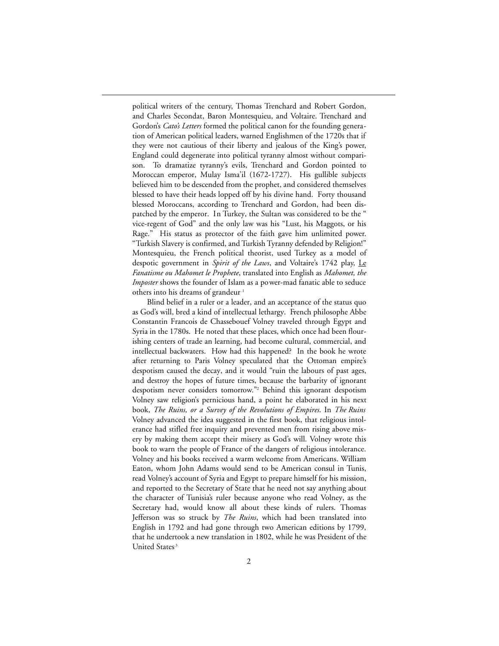political writers of the century, Thomas Trenchard and Robert Gordon, and Charles Secondat, Baron Montesquieu, and Voltaire. Trenchard and Gordon's *Cato's Letters* formed the political canon for the founding generation of American political leaders, warned Englishmen of the 1720s that if they were not cautious of their liberty and jealous of the King's power, England could degenerate into political tyranny almost without comparison. To dramatize tyranny's evils, Trenchard and Gordon pointed to Moroccan emperor, Mulay Isma'il (1672-1727). His gullible subjects believed him to be descended from the prophet, and considered themselves blessed to have their heads lopped off by his divine hand. Forty thousand blessed Moroccans, according to Trenchard and Gordon, had been dispatched by the emperor. In Turkey, the Sultan was considered to be the " vice-regent of God" and the only law was his "Lust, his Maggots, or his Rage." His status as protector of the faith gave him unlimited power. "Turkish Slavery is confirmed, and Turkish Tyranny defended by Religion!" Montesquieu, the French political theorist, used Turkey as a model of despotic government in *Spirit of the Laws*, and Voltaire's 1742 play, Le *Fanatisme ou Mahomet le Prophete*, translated into English as *Mahomet, the Imposter* shows the founder of Islam as a power-mad fanatic able to seduce others into his dreams of grandeur.<sup>1</sup>

Blind belief in a ruler or a leader, and an acceptance of the status quo as God's will, bred a kind of intellectual lethargy. French philosophe Abbe Constantin Francois de Chassebouef Volney traveled through Egypt and Syria in the 1780s. He noted that these places, which once had been flourishing centers of trade an learning, had become cultural, commercial, and intellectual backwaters. How had this happened? In the book he wrote after returning to Paris Volney speculated that the Ottoman empire's despotism caused the decay, and it would "ruin the labours of past ages, and destroy the hopes of future times, because the barbarity of ignorant despotism never considers tomorrow."<sup>2</sup> Behind this ignorant despotism Volney saw religion's pernicious hand, a point he elaborated in his next book, *The Ruins, or a Survey of the Revolutions of Empires*. In *The Ruins* Volney advanced the idea suggested in the first book, that religious intolerance had stifled free inquiry and prevented men from rising above misery by making them accept their misery as God's will. Volney wrote this book to warn the people of France of the dangers of religious intolerance. Volney and his books received a warm welcome from Americans. William Eaton, whom John Adams would send to be American consul in Tunis, read Volney's account of Syria and Egypt to prepare himself for his mission, and reported to the Secretary of State that he need not say anything about the character of Tunisia's ruler because anyone who read Volney, as the Secretary had, would know all about these kinds of rulers. Thomas Jefferson was so struck by *The Ruins*, which had been translated into English in 1792 and had gone through two American editions by 1799, that he undertook a new translation in 1802, while he was President of the United States<sup>3</sup>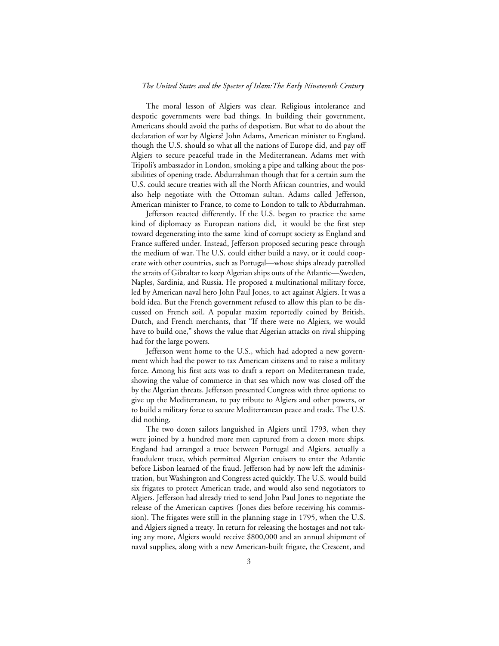The moral lesson of Algiers was clear. Religious intolerance and despotic governments were bad things. In building their government, Americans should avoid the paths of despotism. But what to do about the declaration of war by Algiers? John Adams, American minister to England, though the U.S. should so what all the nations of Europe did, and pay off Algiers to secure peaceful trade in the Mediterranean. Adams met with Tripoli's ambassador in London, smoking a pipe and talking about the possibilities of opening trade. Abdurrahman though that for a certain sum the U.S. could secure treaties with all the North African countries, and would also help negotiate with the Ottoman sultan. Adams called Jefferson, American minister to France, to come to London to talk to Abdurrahman.

Jefferson reacted differently. If the U.S. began to practice the same kind of diplomacy as European nations did, it would be the first step toward degenerating into the same kind of corrupt society as England and France suffered under. Instead, Jefferson proposed securing peace through the medium of war. The U.S. could either build a navy, or it could cooperate with other countries, such as Portugal—whose ships already patrolled the straits of Gibraltar to keep Algerian ships outs of the Atlantic—Sweden, Naples, Sardinia, and Russia. He proposed a multinational military force, led by American naval hero John Paul Jones, to act against Algiers. It was a bold idea. But the French government refused to allow this plan to be discussed on French soil. A popular maxim reportedly coined by British, Dutch, and French merchants, that "If there were no Algiers, we would have to build one," shows the value that Algerian attacks on rival shipping had for the large powers.

Jefferson went home to the U.S., which had adopted a new government which had the power to tax American citizens and to raise a military force. Among his first acts was to draft a report on Mediterranean trade, showing the value of commerce in that sea which now was closed off the by the Algerian threats. Jefferson presented Congress with three options: to give up the Mediterranean, to pay tribute to Algiers and other powers, or to build a military force to secure Mediterranean peace and trade. The U.S. did nothing.

The two dozen sailors languished in Algiers until 1793, when they were joined by a hundred more men captured from a dozen more ships. England had arranged a truce between Portugal and Algiers, actually a fraudulent truce, which permitted Algerian cruisers to enter the Atlantic before Lisbon learned of the fraud. Jefferson had by now left the administration, but Washington and Congress acted quickly. The U.S. would build six frigates to protect American trade, and would also send negotiators to Algiers. Jefferson had already tried to send John Paul Jones to negotiate the release of the American captives (Jones dies before receiving his commission). The frigates were still in the planning stage in 1795, when the U.S. and Algiers signed a treaty. In return for releasing the hostages and not taking any more, Algiers would receive \$800,000 and an annual shipment of naval supplies, along with a new American-built frigate, the Crescent, and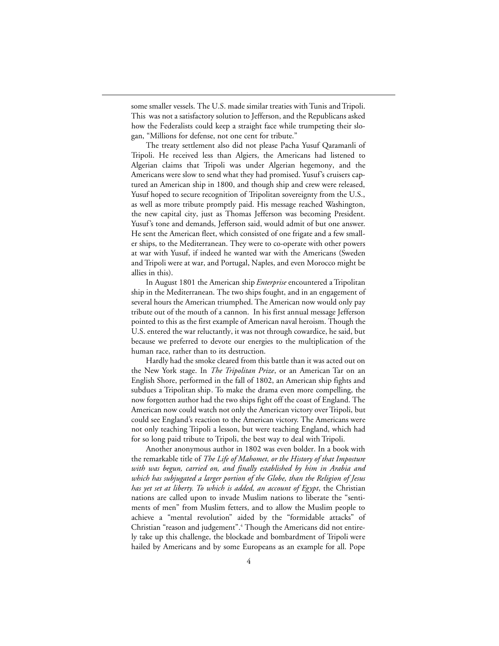some smaller vessels. The U.S. made similar treaties with Tunis and Tripoli. This was not a satisfactory solution to Jefferson, and the Republicans asked how the Federalists could keep a straight face while trumpeting their slogan, "Millions for defense, not one cent for tribute."

The treaty settlement also did not please Pacha Yusuf Qaramanli of Tripoli. He received less than Algiers, the Americans had listened to Algerian claims that Tripoli was under Algerian hegemony, and the Americans were slow to send what they had promised. Yusuf's cruisers captured an American ship in 1800, and though ship and crew were released, Yusuf hoped to secure recognition of Tripolitan sovereignty from the U.S., as well as more tribute promptly paid. His message reached Washington, the new capital city, just as Thomas Jefferson was becoming President. Yusuf's tone and demands, Jefferson said, would admit of but one answer. He sent the American fleet, which consisted of one frigate and a few smaller ships, to the Mediterranean. They were to co-operate with other powers at war with Yusuf, if indeed he wanted war with the Americans (Sweden and Tripoli were at war, and Portugal, Naples, and even Morocco might be allies in this).

In August 1801 the American ship *Enterprise* encountered a Tripolitan ship in the Mediterranean. The two ships fought, and in an engagement of several hours the American triumphed. The American now would only pay tribute out of the mouth of a cannon. In his first annual message Jefferson pointed to this as the first example of American naval heroism. Though the U.S. entered the war reluctantly, it was not through cowardice, he said, but because we preferred to devote our energies to the multiplication of the human race, rather than to its destruction.

Hardly had the smoke cleared from this battle than it was acted out on the New York stage. In *The Tripolitan Prize*, or an American Tar on an English Shore, performed in the fall of 1802, an American ship fights and subdues a Tripolitan ship. To make the drama even more compelling, the now forgotten author had the two ships fight off the coast of England. The American now could watch not only the American victory over Tripoli, but could see England's reaction to the American victory. The Americans were not only teaching Tripoli a lesson, but were teaching England, which had for so long paid tribute to Tripoli, the best way to deal with Tripoli.

Another anonymous author in 1802 was even bolder. In a book with the remarkable title of *The Life of Mahomet, or the History of that Imposture with was begun, carried on, and finally established by him in Arabia and which has subjugated a larger portion of the Globe, than the Religion of Jesus has yet set at liberty. To which is added, an account of Egypt*, the Christian nations are called upon to invade Muslim nations to liberate the "sentiments of men" from Muslim fetters, and to allow the Muslim people to achieve a "mental revolution" aided by the "formidable attacks" of Christian "reason and judgement".<sup>4</sup> Though the Americans did not entirely take up this challenge, the blockade and bombardment of Tripoli were hailed by Americans and by some Europeans as an example for all. Pope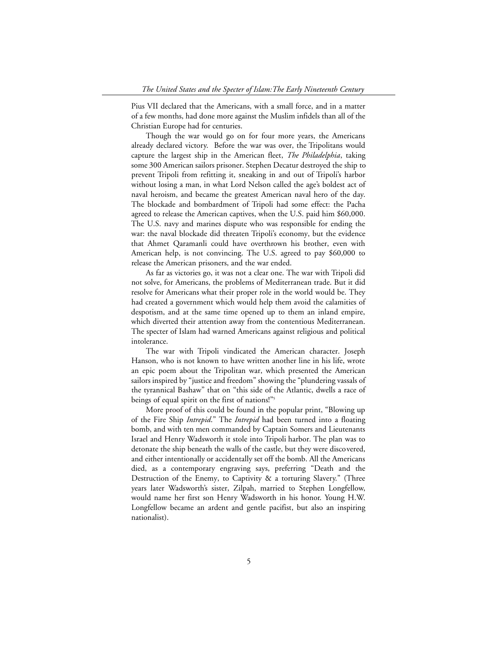Pius VII declared that the Americans, with a small force, and in a matter of a few months, had done more against the Muslim infidels than all of the Christian Europe had for centuries.

Though the war would go on for four more years, the Americans already declared victory. Before the war was over, the Tripolitans would capture the largest ship in the American fleet, *The Philadelphia*, taking some 300 American sailors prisoner. Stephen Decatur destroyed the ship to prevent Tripoli from refitting it, sneaking in and out of Tripoli's harbor without losing a man, in what Lord Nelson called the age's boldest act of naval heroism, and became the greatest American naval hero of the day. The blockade and bombardment of Tripoli had some effect: the Pacha agreed to release the American captives, when the U.S. paid him \$60,000. The U.S. navy and marines dispute who was responsible for ending the war: the naval blockade did threaten Tripoli's economy, but the evidence that Ahmet Qaramanli could have overthrown his brother, even with American help, is not convincing. The U.S. agreed to pay \$60,000 to release the American prisoners, and the war ended.

As far as victories go, it was not a clear one. The war with Tripoli did not solve, for Americans, the problems of Mediterranean trade. But it did resolve for Americans what their proper role in the world would be. They had created a government which would help them avoid the calamities of despotism, and at the same time opened up to them an inland empire, which diverted their attention away from the contentious Mediterranean. The specter of Islam had warned Americans against religious and political intolerance.

The war with Tripoli vindicated the American character. Joseph Hanson, who is not known to have written another line in his life, wrote an epic poem about the Tripolitan war, which presented the American sailors inspired by "justice and freedom" showing the "plundering vassals of the tyrannical Bashaw" that on "this side of the Atlantic, dwells a race of beings of equal spirit on the first of nations!"<sup>5</sup>

More proof of this could be found in the popular print, "Blowing up of the Fire Ship *Intrepid*." The *Intrepid* had been turned into a floating bomb, and with ten men commanded by Captain Somers and Lieutenants Israel and Henry Wadsworth it stole into Tripoli harbor. The plan was to detonate the ship beneath the walls of the castle, but they were discovered, and either intentionally or accidentally set off the bomb. All the Americans died, as a contemporary engraving says, preferring "Death and the Destruction of the Enemy, to Captivity & a torturing Slavery." (Three years later Wadsworth's sister, Zilpah, married to Stephen Longfellow, would name her first son Henry Wadsworth in his honor. Young H.W. Longfellow became an ardent and gentle pacifist, but also an inspiring nationalist).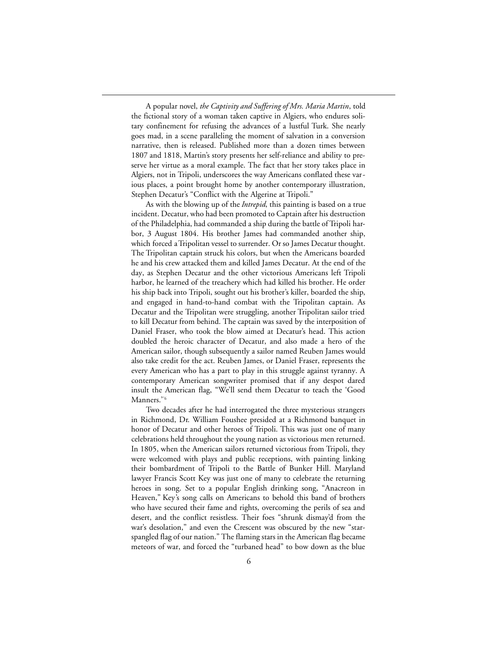A popular novel, *the Captivity and Suffering of Mrs. Maria Martin*, told the fictional story of a woman taken captive in Algiers, who endures solitary confinement for refusing the advances of a lustful Turk. She nearly goes mad, in a scene paralleling the moment of salvation in a conversion narrative, then is released. Published more than a dozen times between 1807 and 1818, Martin's story presents her self-reliance and ability to preserve her virtue as a moral example. The fact that her story takes place in Algiers, not in Tripoli, underscores the way Americans conflated these various places, a point brought home by another contemporary illustration, Stephen Decatur's "Conflict with the Algerine at Tripoli."

As with the blowing up of the *Intrepid*, this painting is based on a true incident. Decatur, who had been promoted to Captain after his destruction of the Philadelphia, had commanded a ship during the battle of Tripoli harbor, 3 August 1804. His brother James had commanded another ship, which forced a Tripolitan vessel to surrender. Or so James Decatur thought. The Tripolitan captain struck his colors, but when the Americans boarded he and his crew attacked them and killed James Decatur. At the end of the day, as Stephen Decatur and the other victorious Americans left Tripoli harbor, he learned of the treachery which had killed his brother. He order his ship back into Tripoli, sought out his brother's killer, boarded the ship, and engaged in hand-to-hand combat with the Tripolitan captain. As Decatur and the Tripolitan were struggling, another Tripolitan sailor tried to kill Decatur from behind. The captain was saved by the interposition of Daniel Fraser, who took the blow aimed at Decatur's head. This action doubled the heroic character of Decatur, and also made a hero of the American sailor, though subsequently a sailor named Reuben James would also take credit for the act. Reuben James, or Daniel Fraser, represents the every American who has a part to play in this struggle against tyranny. A contemporary American songwriter promised that if any despot dared insult the American flag, "We'll send them Decatur to teach the 'Good Manners."<sup>6</sup>

Two decades after he had interrogated the three mysterious strangers in Richmond, Dr. William Foushee presided at a Richmond banquet in honor of Decatur and other heroes of Tripoli. This was just one of many celebrations held throughout the young nation as victorious men returned. In 1805, when the American sailors returned victorious from Tripoli, they were welcomed with plays and public receptions, with painting linking their bombardment of Tripoli to the Battle of Bunker Hill. Maryland lawyer Francis Scott Key was just one of many to celebrate the returning heroes in song. Set to a popular English drinking song, "Anacreon in Heaven," Key's song calls on Americans to behold this band of brothers who have secured their fame and rights, overcoming the perils of sea and desert, and the conflict resistless. Their foes "shrunk dismay'd from the war's desolation," and even the Crescent was obscured by the new "starspangled flag of our nation." The flaming stars in the American flag became meteors of war, and forced the "turbaned head" to bow down as the blue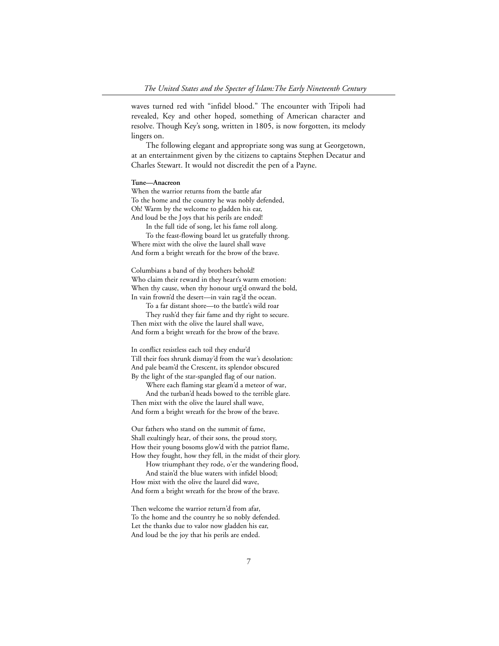waves turned red with "infidel blood." The encounter with Tripoli had revealed, Key and other hoped, something of American character and resolve. Though Key's song, written in 1805, is now forgotten, its melody lingers on.

The following elegant and appropriate song was sung at Georgetown, at an entertainment given by the citizens to captains Stephen Decatur and Charles Stewart. It would not discredit the pen of a Payne.

## **Tune—Anacreon**

When the warrior returns from the battle afar To the home and the country he was nobly defended, Oh! Warm by the welcome to gladden his ear, And loud be the Joys that his perils are ended!

In the full tide of song, let his fame roll along. To the feast-flowing board let us gratefully throng. Where mixt with the olive the laurel shall wave And form a bright wreath for the brow of the brave.

Columbians a band of thy brothers behold!

Who claim their reward in they heart's warm emotion: When thy cause, when thy honour urg'd onward the bold, In vain frown'd the desert—in vain rag'd the ocean.

To a far distant shore—to the battle's wild roar They rush'd they fair fame and thy right to secure. Then mixt with the olive the laurel shall wave, And form a bright wreath for the brow of the brave.

In conflict resistless each toil they endur'd Till their foes shrunk dismay'd from the war's desolation: And pale beam'd the Crescent, its splendor obscured By the light of the star-spangled flag of our nation.

Where each flaming star gleam'd a meteor of war, And the turban'd heads bowed to the terrible glare. Then mixt with the olive the laurel shall wave, And form a bright wreath for the brow of the brave.

Our fathers who stand on the summit of fame, Shall exultingly hear, of their sons, the proud story, How their young bosoms glow'd with the patriot flame, How they fought, how they fell, in the midst of their glory.

How triumphant they rode, o'er the wandering flood, And stain'd the blue waters with infidel blood; How mixt with the olive the laurel did wave,

And form a bright wreath for the brow of the brave.

Then welcome the warrior return'd from afar, To the home and the country he so nobly defended. Let the thanks due to valor now gladden his ear, And loud be the joy that his perils are ended.